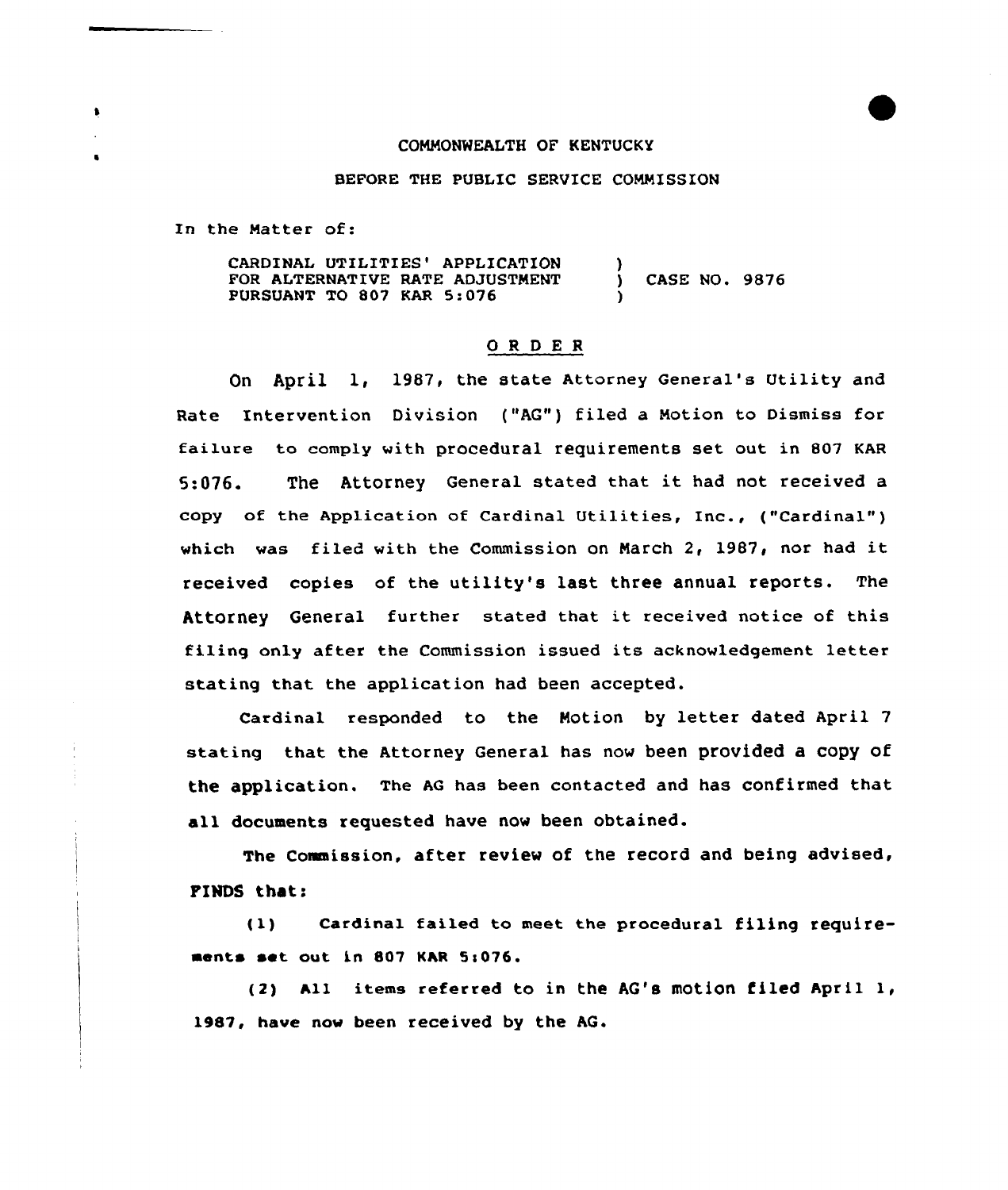## COMMONWEALTH OF KENTUCKY

## BEFORE THE PUBLIC SERVICE COMMISSION

In the Natter of:

 $\mathbf{r}$ 

CARDINAL UTILITIES' APPLICATION FOR ALTERNATIVE RATE ADJUSTMENT PURSUANT TO 807 KAR 5:076 ) ) CASE NO. 9876 )

## ORDER

On April 1, 1987, the state Attorney General's Utility and Rate Intervention Division ("AG") filed a Motion to Dismiss for failure to comply with procedural requirements set out in 807 KAR 5:076. The Attorney General stated that it had not received <sup>a</sup> copy of the Application of Cardinal Utilities, Inc., ("Cardinal" ) which was filed with the Commission on March 2, 1987, nor had it received copies of the utility's last three annual reports. The Attorney General further stated that it received notice of this filing only after the Commission issued its acknowledgement letter stating that the application had been accepted.

Cardinal responded to the Notion by letter dated April <sup>7</sup> stating that the Attorney General has now been provided a copy of the application. The AG has been contacted and has confirmed that all documents requested have now been obtained.

The Comaission, after review of the record and being advised, FINDS that:

 $(1)$  Cardinal failed to meet the procedural filing requirements set out in 807 KAR 5:076.

(2) All items referred to in the AG's motion, filed April 1, 1987, have now been received by the AG.